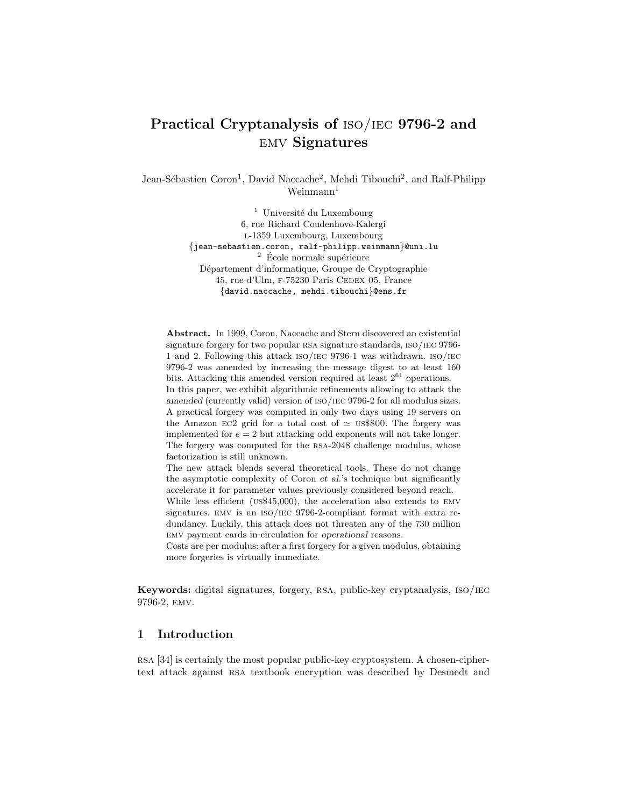# Practical Cryptanalysis of iso/iec 9796-2 and emv Signatures

Jean-Sébastien Coron<sup>1</sup>, David Naccache<sup>2</sup>, Mehdi Tibouchi<sup>2</sup>, and Ralf-Philipp  $Weinmann<sup>1</sup>$ 

> $1$  Université du Luxembourg 6, rue Richard Coudenhove-Kalergi l-1359 Luxembourg, Luxembourg {jean-sebastien.coron, ralf-philipp.weinmann}@uni.lu  $^2\,$  École normale supérieure Département d'informatique, Groupe de Cryptographie 45, rue d'Ulm, F-75230 Paris CEDEX 05, France {david.naccache, mehdi.tibouchi}@ens.fr

Abstract. In 1999, Coron, Naccache and Stern discovered an existential signature forgery for two popular RSA signature standards, ISO/IEC 9796-1 and 2. Following this attack iso/iec 9796-1 was withdrawn. iso/iec 9796-2 was amended by increasing the message digest to at least 160 bits. Attacking this amended version required at least  $2^{61}$  operations. In this paper, we exhibit algorithmic refinements allowing to attack the *amended* (currently valid) version of  $ISO/IEC$  9796-2 for all modulus sizes. A practical forgery was computed in only two days using 19 servers on the Amazon EC2 grid for a total cost of  $\simeq$  us\$800. The forgery was implemented for  $e = 2$  but attacking odd exponents will not take longer. The forgery was computed for the rsa-2048 challenge modulus, whose factorization is still unknown.

The new attack blends several theoretical tools. These do not change the asymptotic complexity of Coron *et al.*'s technique but significantly accelerate it for parameter values previously considered beyond reach.

While less efficient (us\$45,000), the acceleration also extends to emv signatures. emv is an iso/iec 9796-2-compliant format with extra redundancy. Luckily, this attack does not threaten any of the 730 million emv payment cards in circulation for *operational* reasons.

Costs are per modulus: after a first forgery for a given modulus, obtaining more forgeries is virtually immediate.

Keywords: digital signatures, forgery, rsa, public-key cryptanalysis, iso/iec 9796-2, emv.

# 1 Introduction

rsa [34] is certainly the most popular public-key cryptosystem. A chosen-ciphertext attack against rsa textbook encryption was described by Desmedt and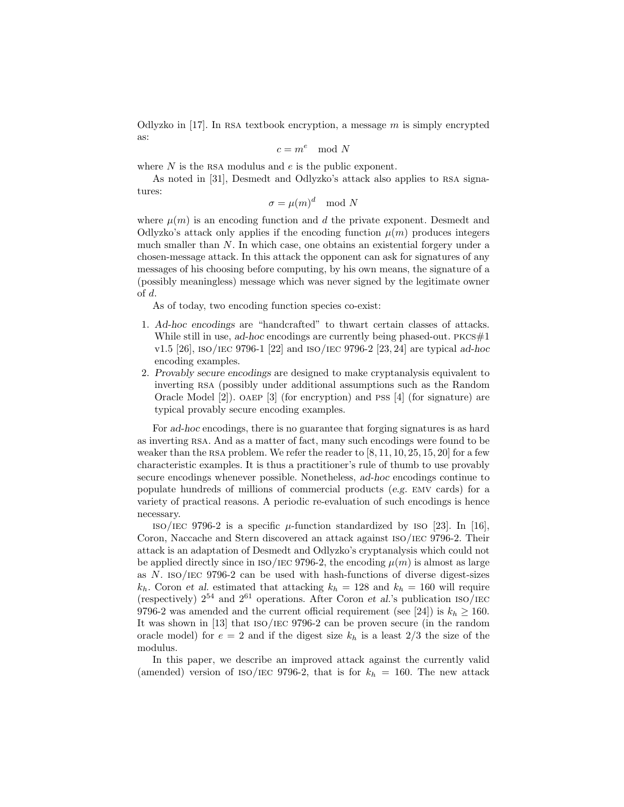Odlyzko in [17]. In RSA textbook encryption, a message  $m$  is simply encrypted as:

$$
c = m^e \mod N
$$

where  $N$  is the RSA modulus and  $e$  is the public exponent.

As noted in [31], Desmedt and Odlyzko's attack also applies to rsa signatures:

 $\sigma = \mu(m)^d \mod N$ 

where  $\mu(m)$  is an encoding function and d the private exponent. Desmedt and Odlyzko's attack only applies if the encoding function  $\mu(m)$  produces integers much smaller than N. In which case, one obtains an existential forgery under a chosen-message attack. In this attack the opponent can ask for signatures of any messages of his choosing before computing, by his own means, the signature of a (possibly meaningless) message which was never signed by the legitimate owner of d.

As of today, two encoding function species co-exist:

- 1. Ad-hoc encodings are "handcrafted" to thwart certain classes of attacks. While still in use, ad-hoc encodings are currently being phased-out.  $PKCS#1$ v1.5 [26], iso/iec 9796-1 [22] and iso/iec 9796-2 [23, 24] are typical ad-hoc encoding examples.
- 2. Provably secure encodings are designed to make cryptanalysis equivalent to inverting rsa (possibly under additional assumptions such as the Random Oracle Model [2]). oaep [3] (for encryption) and pss [4] (for signature) are typical provably secure encoding examples.

For ad-hoc encodings, there is no guarantee that forging signatures is as hard as inverting rsa. And as a matter of fact, many such encodings were found to be weaker than the RSA problem. We refer the reader to  $[8, 11, 10, 25, 15, 20]$  for a few characteristic examples. It is thus a practitioner's rule of thumb to use provably secure encodings whenever possible. Nonetheless, ad-hoc encodings continue to populate hundreds of millions of commercial products (e.g. emv cards) for a variety of practical reasons. A periodic re-evaluation of such encodings is hence necessary.

 $\text{iso/IEC}$  9796-2 is a specific  $\mu$ -function standardized by ISO [23]. In [16], Coron, Naccache and Stern discovered an attack against iso/iec 9796-2. Their attack is an adaptation of Desmedt and Odlyzko's cryptanalysis which could not be applied directly since in ISO/IEC 9796-2, the encoding  $\mu(m)$  is almost as large as N. iso/iec 9796-2 can be used with hash-functions of diverse digest-sizes  $k_h$ . Coron et al. estimated that attacking  $k_h = 128$  and  $k_h = 160$  will require (respectively)  $2^{54}$  and  $2^{61}$  operations. After Coron et al.'s publication ISO/IEC 9796-2 was amended and the current official requirement (see [24]) is  $k_h \ge 160$ . It was shown in [13] that iso/iec 9796-2 can be proven secure (in the random oracle model) for  $e = 2$  and if the digest size  $k_h$  is a least  $2/3$  the size of the modulus.

In this paper, we describe an improved attack against the currently valid (amended) version of ISO/IEC 9796-2, that is for  $k_h = 160$ . The new attack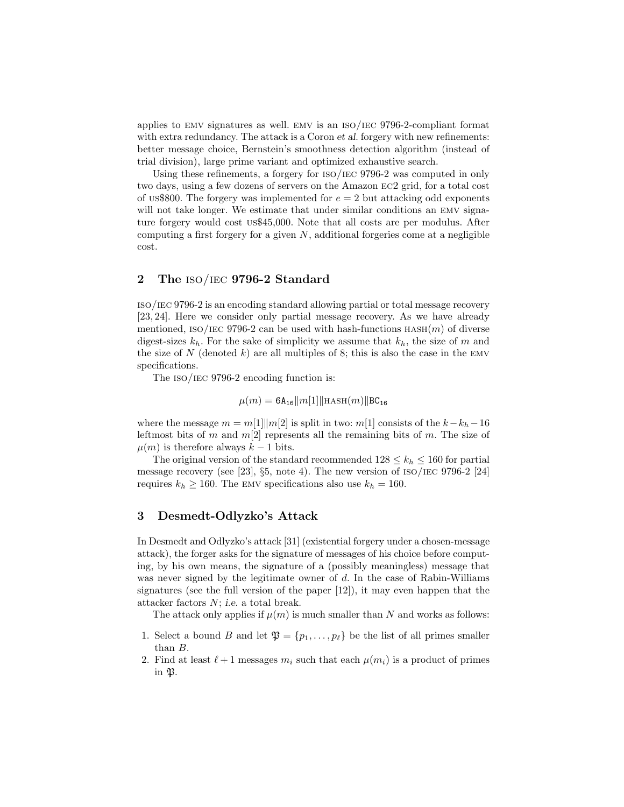applies to emv signatures as well. emv is an iso/iec 9796-2-compliant format with extra redundancy. The attack is a Coron *et al.* forgery with new refinements: better message choice, Bernstein's smoothness detection algorithm (instead of trial division), large prime variant and optimized exhaustive search.

Using these refinements, a forgery for iso/iec 9796-2 was computed in only two days, using a few dozens of servers on the Amazon ec2 grid, for a total cost of us\$800. The forgery was implemented for  $e = 2$  but attacking odd exponents will not take longer. We estimate that under similar conditions an EMV signature forgery would cost us\$45,000. Note that all costs are per modulus. After computing a first forgery for a given  $N$ , additional forgeries come at a negligible cost.

## 2 The iso/iec 9796-2 Standard

iso/iec 9796-2 is an encoding standard allowing partial or total message recovery [23, 24]. Here we consider only partial message recovery. As we have already mentioned, ISO/IEC 9796-2 can be used with hash-functions  $HASH(m)$  of diverse digest-sizes  $k_h$ . For the sake of simplicity we assume that  $k_h$ , the size of m and the size of N (denoted k) are all multiples of 8; this is also the case in the EMV specifications.

The ISO/IEC 9796-2 encoding function is:

$$
\mu(m) = 6A_{16}||m[1]||\text{HASH}(m)||BC_{16}
$$

where the message  $m = m[1] \parallel m[2]$  is split in two:  $m[1]$  consists of the  $k - k<sub>h</sub> - 16$ leftmost bits of m and  $m[2]$  represents all the remaining bits of m. The size of  $\mu(m)$  is therefore always  $k-1$  bits.

The original version of the standard recommended  $128 \leq k_h \leq 160$  for partial message recovery (see [23],  $\S5$ , note 4). The new version of  $\text{ISO}/\text{IEC}$  9796-2 [24] requires  $k_h \ge 160$ . The EMV specifications also use  $k_h = 160$ .

## 3 Desmedt-Odlyzko's Attack

In Desmedt and Odlyzko's attack [31] (existential forgery under a chosen-message attack), the forger asks for the signature of messages of his choice before computing, by his own means, the signature of a (possibly meaningless) message that was never signed by the legitimate owner of  $d$ . In the case of Rabin-Williams signatures (see the full version of the paper [12]), it may even happen that the attacker factors N; i.e. a total break.

The attack only applies if  $\mu(m)$  is much smaller than N and works as follows:

- 1. Select a bound B and let  $\mathfrak{P} = \{p_1, \ldots, p_\ell\}$  be the list of all primes smaller than B.
- 2. Find at least  $\ell+1$  messages  $m_i$  such that each  $\mu(m_i)$  is a product of primes in P.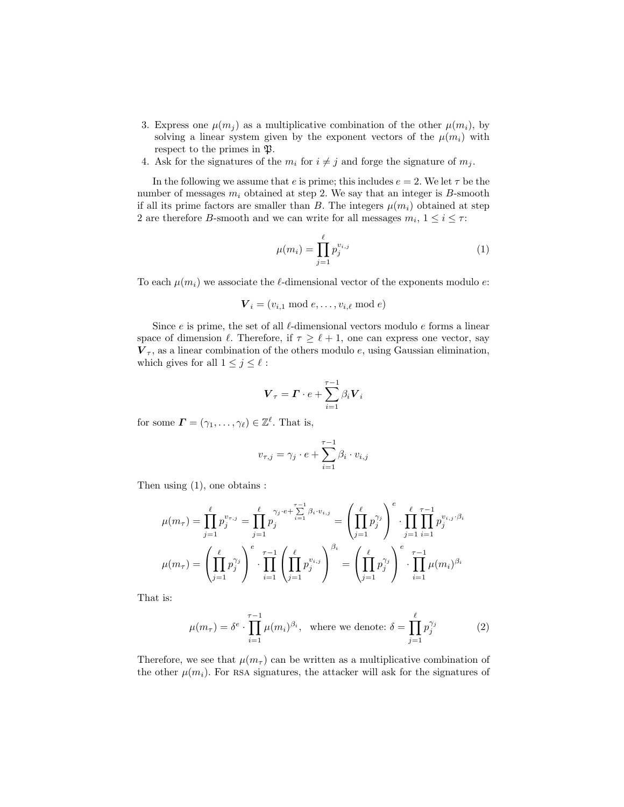- 3. Express one  $\mu(m_i)$  as a multiplicative combination of the other  $\mu(m_i)$ , by solving a linear system given by the exponent vectors of the  $\mu(m_i)$  with respect to the primes in  $\mathfrak{P}.$
- 4. Ask for the signatures of the  $m_i$  for  $i \neq j$  and forge the signature of  $m_j$ .

In the following we assume that e is prime; this includes  $e = 2$ . We let  $\tau$  be the number of messages  $m_i$  obtained at step 2. We say that an integer is B-smooth if all its prime factors are smaller than B. The integers  $\mu(m_i)$  obtained at step 2 are therefore *B*-smooth and we can write for all messages  $m_i$ ,  $1 \le i \le \tau$ :

$$
\mu(m_i) = \prod_{j=1}^{\ell} p_j^{v_{i,j}} \tag{1}
$$

To each  $\mu(m_i)$  we associate the  $\ell$ -dimensional vector of the exponents modulo e:

$$
\boldsymbol{V}_i = (v_{i,1} \bmod e, \dots, v_{i,\ell} \bmod e)
$$

Since  $e$  is prime, the set of all  $\ell$ -dimensional vectors modulo  $e$  forms a linear space of dimension  $\ell$ . Therefore, if  $\tau \geq \ell + 1$ , one can express one vector, say  $V_{\tau}$ , as a linear combination of the others modulo e, using Gaussian elimination, which gives for all  $1 \leq j \leq \ell$ :

$$
\boldsymbol{V}_{\tau} = \boldsymbol{\varGamma} \cdot \boldsymbol{e} + \sum_{i=1}^{\tau-1} \beta_i \boldsymbol{V}_i
$$

for some  $\boldsymbol{\Gamma} = (\gamma_1, \ldots, \gamma_\ell) \in \mathbb{Z}^\ell$ . That is,

$$
v_{\tau,j} = \gamma_j \cdot e + \sum_{i=1}^{\tau-1} \beta_i \cdot v_{i,j}
$$

Then using  $(1)$ , one obtains :

$$
\mu(m_{\tau}) = \prod_{j=1}^{\ell} p_j^{v_{\tau,j}} = \prod_{j=1}^{\ell} p_j^{\gamma_j \cdot e + \sum_{i=1}^{\tau-1} \beta_i \cdot v_{i,j}} = \left( \prod_{j=1}^{\ell} p_j^{\gamma_j} \right)^{e} \cdot \prod_{j=1}^{\ell} \prod_{i=1}^{\tau-1} p_j^{v_{i,j} \cdot \beta_i}
$$

$$
\mu(m_{\tau}) = \left( \prod_{j=1}^{\ell} p_j^{\gamma_j} \right)^{e} \cdot \prod_{i=1}^{\tau-1} \left( \prod_{j=1}^{\ell} p_j^{v_{i,j}} \right)^{\beta_i} = \left( \prod_{j=1}^{\ell} p_j^{\gamma_j} \right)^{e} \cdot \prod_{i=1}^{\tau-1} \mu(m_i)^{\beta_i}
$$

That is:

$$
\mu(m_{\tau}) = \delta^e \cdot \prod_{i=1}^{\tau-1} \mu(m_i)^{\beta_i}, \text{ where we denote: } \delta = \prod_{j=1}^{\ell} p_j^{\gamma_j} \tag{2}
$$

Therefore, we see that  $\mu(m_\tau)$  can be written as a multiplicative combination of the other  $\mu(m_i)$ . For RSA signatures, the attacker will ask for the signatures of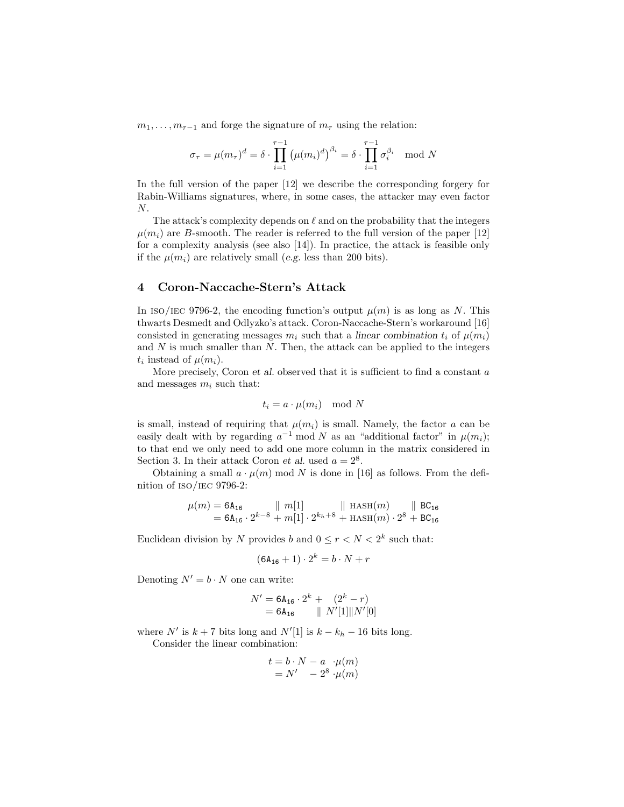$m_1, \ldots, m_{\tau-1}$  and forge the signature of  $m_{\tau}$  using the relation:

$$
\sigma_{\tau} = \mu(m_{\tau})^d = \delta \cdot \prod_{i=1}^{\tau-1} (\mu(m_i)^d)^{\beta_i} = \delta \cdot \prod_{i=1}^{\tau-1} \sigma_i^{\beta_i} \mod N
$$

In the full version of the paper [12] we describe the corresponding forgery for Rabin-Williams signatures, where, in some cases, the attacker may even factor N.

The attack's complexity depends on  $\ell$  and on the probability that the integers  $\mu(m_i)$  are B-smooth. The reader is referred to the full version of the paper [12] for a complexity analysis (see also [14]). In practice, the attack is feasible only if the  $\mu(m_i)$  are relatively small (e.g. less than 200 bits).

### 4 Coron-Naccache-Stern's Attack

In ISO/IEC 9796-2, the encoding function's output  $\mu(m)$  is as long as N. This thwarts Desmedt and Odlyzko's attack. Coron-Naccache-Stern's workaround [16] consisted in generating messages  $m_i$  such that a linear combination  $t_i$  of  $\mu(m_i)$ and  $N$  is much smaller than  $N$ . Then, the attack can be applied to the integers  $t_i$  instead of  $\mu(m_i)$ .

More precisely, Coron et al. observed that it is sufficient to find a constant  $a$ and messages  $m_i$  such that:

$$
t_i = a \cdot \mu(m_i) \mod N
$$

is small, instead of requiring that  $\mu(m_i)$  is small. Namely, the factor a can be easily dealt with by regarding  $a^{-1}$  mod N as an "additional factor" in  $\mu(m_i)$ ; to that end we only need to add one more column in the matrix considered in Section 3. In their attack Coron *et al.* used  $a = 2^8$ .

Obtaining a small  $a \cdot \mu(m)$  mod N is done in [16] as follows. From the definition of iso/iec 9796-2:

$$
\mu(m) = 6A_{16} \qquad || m[1] \qquad || \text{ HASH}(m) \qquad || \text{ BC}_{16} = 6A_{16} \cdot 2^{k-8} + m[1] \cdot 2^{k_h+8} + \text{HASH}(m) \cdot 2^8 + \text{BC}_{16}
$$

Euclidean division by N provides b and  $0 \le r < N < 2<sup>k</sup>$  such that:

$$
(6A_{16}+1)\cdot 2^k = b\cdot N + r
$$

Denoting  $N' = b \cdot N$  one can write:

$$
N' = 6A_{16} \cdot 2^{k} + (2^{k} - r)
$$
  
= 6A\_{16} || N'[1]|| N'[0]

where  $N'$  is  $k + 7$  bits long and  $N'[1]$  is  $k - k_h - 16$  bits long.

Consider the linear combination:

$$
t = b \cdot N - a \cdot \mu(m)
$$
  
= N' - 2<sup>8</sup> \cdot \mu(m)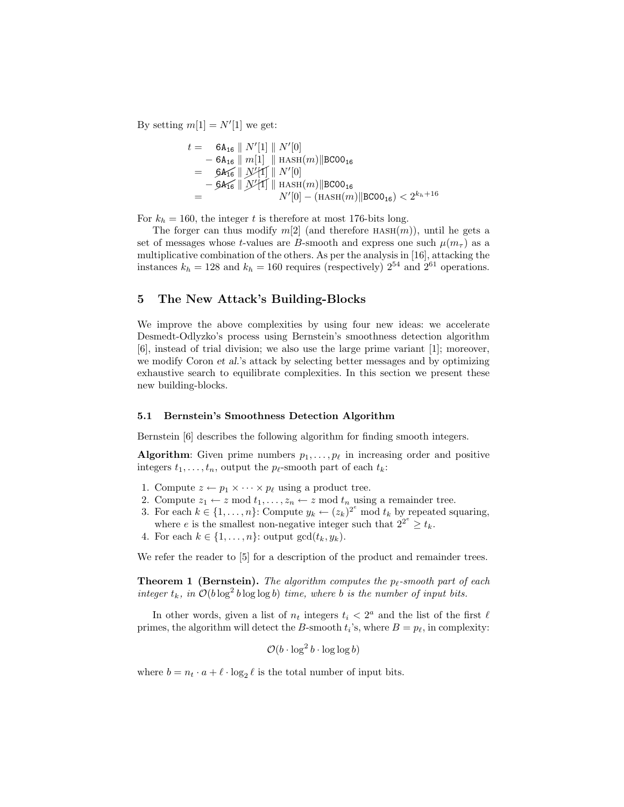By setting  $m[1] = N'[1]$  we get:

$$
t = 6A_{16} \| N'[1] \| N'[0]
$$
  
\n
$$
- 6A_{16} \| m[1] \| HASH(m) \| BCOO_{16}
$$
  
\n
$$
= 6A_{16} \| N'[1] \| N'[0]
$$
  
\n
$$
- 6A_{16} \| N'[1] \| HASH(m) \| BCOO_{16}
$$
  
\n
$$
= N'[0] - (HASH(m) \| BCOO_{16}) < 2^{k_h + 16}
$$

For  $k_h = 160$ , the integer t is therefore at most 176-bits long.

The forger can thus modify  $m[2]$  (and therefore HASH $(m)$ ), until he gets a set of messages whose t-values are B-smooth and express one such  $\mu(m_{\tau})$  as a multiplicative combination of the others. As per the analysis in [16], attacking the instances  $k_h = 128$  and  $k_h = 160$  requires (respectively)  $2^{54}$  and  $2^{61}$  operations.

# 5 The New Attack's Building-Blocks

We improve the above complexities by using four new ideas: we accelerate Desmedt-Odlyzko's process using Bernstein's smoothness detection algorithm [6], instead of trial division; we also use the large prime variant [1]; moreover, we modify Coron et al.'s attack by selecting better messages and by optimizing exhaustive search to equilibrate complexities. In this section we present these new building-blocks.

#### 5.1 Bernstein's Smoothness Detection Algorithm

Bernstein [6] describes the following algorithm for finding smooth integers.

**Algorithm:** Given prime numbers  $p_1, \ldots, p_\ell$  in increasing order and positive integers  $t_1, \ldots, t_n$ , output the  $p_\ell$ -smooth part of each  $t_k$ :

- 1. Compute  $z \leftarrow p_1 \times \cdots \times p_\ell$  using a product tree.
- 2. Compute  $z_1 \leftarrow z \mod t_1, \ldots, z_n \leftarrow z \mod t_n$  using a remainder tree.
- 3. For each  $k \in \{1, \ldots, n\}$ : Compute  $y_k \leftarrow (z_k)^{2^e} \text{ mod } t_k$  by repeated squaring, where e is the smallest non-negative integer such that  $2^{2^e} \geq t_k$ .
- 4. For each  $k \in \{1, \ldots, n\}$ : output  $gcd(t_k, y_k)$ .

We refer the reader to [5] for a description of the product and remainder trees.

**Theorem 1 (Bernstein).** The algorithm computes the  $p_f$ -smooth part of each integer  $t_k$ , in  $\mathcal{O}(b \log^2 b \log \log b)$  time, where b is the number of input bits.

In other words, given a list of  $n_t$  integers  $t_i < 2^a$  and the list of the first  $\ell$ primes, the algorithm will detect the B-smooth  $t_i$ 's, where  $B = p_\ell$ , in complexity:

$$
\mathcal{O}(b \cdot \log^2 b \cdot \log \log b)
$$

where  $b = n_t \cdot a + \ell \cdot \log_2 \ell$  is the total number of input bits.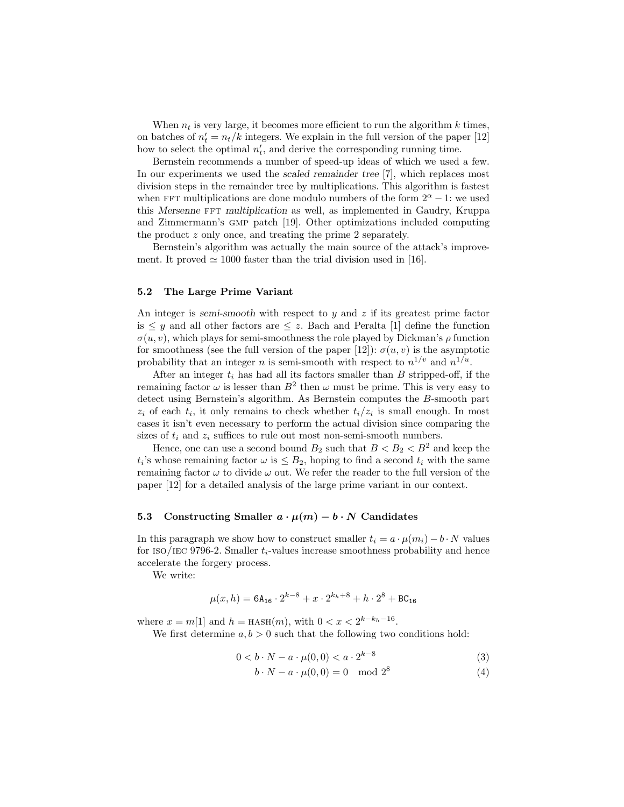When  $n_t$  is very large, it becomes more efficient to run the algorithm k times, on batches of  $n'_t = n_t/k$  integers. We explain in the full version of the paper [12] how to select the optimal  $n'_t$ , and derive the corresponding running time.

Bernstein recommends a number of speed-up ideas of which we used a few. In our experiments we used the scaled remainder tree [7], which replaces most division steps in the remainder tree by multiplications. This algorithm is fastest when FFT multiplications are done modulo numbers of the form  $2^{\alpha} - 1$ : we used this Mersenne FFT multiplication as well, as implemented in Gaudry, Kruppa and Zimmermann's GMP patch [19]. Other optimizations included computing the product z only once, and treating the prime 2 separately.

Bernstein's algorithm was actually the main source of the attack's improvement. It proved  $\simeq 1000$  faster than the trial division used in [16].

### 5.2 The Large Prime Variant

An integer is semi-smooth with respect to  $y$  and  $z$  if its greatest prime factor is  $\leq y$  and all other factors are  $\leq z$ . Bach and Peralta [1] define the function  $\sigma(u, v)$ , which plays for semi-smoothness the role played by Dickman's  $\rho$  function for smoothness (see the full version of the paper [12]):  $\sigma(u, v)$  is the asymptotic probability that an integer *n* is semi-smooth with respect to  $n^{1/v}$  and  $n^{1/u}$ .

After an integer  $t_i$  has had all its factors smaller than  $B$  stripped-off, if the remaining factor  $\omega$  is lesser than  $B^2$  then  $\omega$  must be prime. This is very easy to detect using Bernstein's algorithm. As Bernstein computes the B-smooth part  $z_i$  of each  $t_i$ , it only remains to check whether  $t_i/z_i$  is small enough. In most cases it isn't even necessary to perform the actual division since comparing the sizes of  $t_i$  and  $z_i$  suffices to rule out most non-semi-smooth numbers.

Hence, one can use a second bound  $B_2$  such that  $B < B_2 < B^2$  and keep the  $t_i$ 's whose remaining factor  $\omega$  is  $\leq B_2$ , hoping to find a second  $t_i$  with the same remaining factor  $\omega$  to divide  $\omega$  out. We refer the reader to the full version of the paper [12] for a detailed analysis of the large prime variant in our context.

### 5.3 Constructing Smaller  $a \cdot \mu(m) - b \cdot N$  Candidates

In this paragraph we show how to construct smaller  $t_i = a \cdot \mu(m_i) - b \cdot N$  values for ISO/IEC 9796-2. Smaller  $t_i$ -values increase smoothness probability and hence accelerate the forgery process.

We write:

$$
\mu(x, h) = 6\mathsf{A}_{16} \cdot 2^{k-8} + x \cdot 2^{k_h + 8} + h \cdot 2^8 + \text{BC}_{16}
$$

where  $x = m[1]$  and  $h =$  HASH $(m)$ , with  $0 < x < 2^{k-k_h-16}$ .

We first determine  $a, b > 0$  such that the following two conditions hold:

$$
0 < b \cdot N - a \cdot \mu(0,0) < a \cdot 2^{k-8} \tag{3}
$$

$$
b \cdot N - a \cdot \mu(0,0) = 0 \mod 2^8 \tag{4}
$$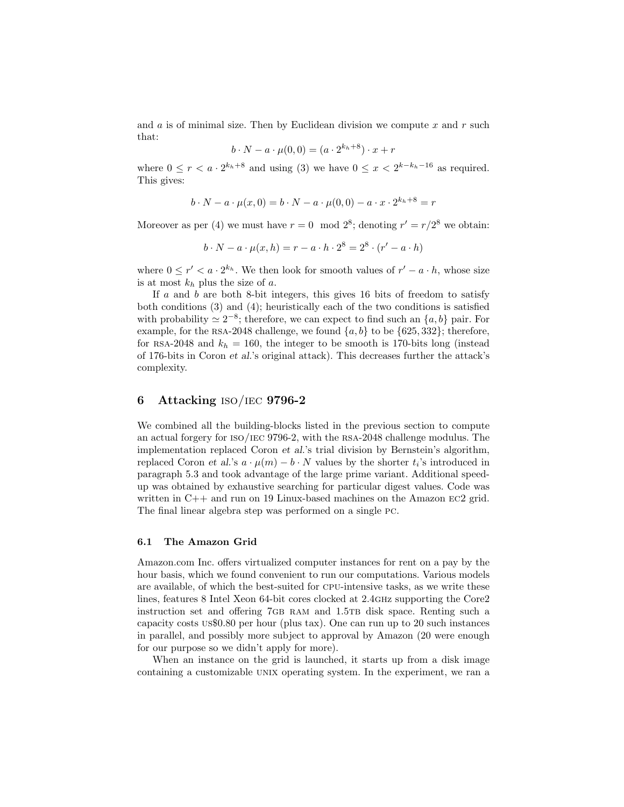and  $a$  is of minimal size. Then by Euclidean division we compute  $x$  and  $r$  such that:

$$
b \cdot N - a \cdot \mu(0,0) = (a \cdot 2^{k_h + 8}) \cdot x + r
$$

where  $0 \leq r < a \cdot 2^{k_h+8}$  and using (3) we have  $0 \leq x < 2^{k-k_h-16}$  as required. This gives:

$$
b \cdot N - a \cdot \mu(x, 0) = b \cdot N - a \cdot \mu(0, 0) - a \cdot x \cdot 2^{k_h + 8} = r
$$

Moreover as per (4) we must have  $r = 0 \mod 2^8$ ; denoting  $r' = r/2^8$  we obtain:

$$
b \cdot N - a \cdot \mu(x, h) = r - a \cdot h \cdot 2^{8} = 2^{8} \cdot (r' - a \cdot h)
$$

where  $0 \le r' < a \cdot 2^{k_h}$ . We then look for smooth values of  $r' - a \cdot h$ , whose size is at most  $k_h$  plus the size of a.

If  $\alpha$  and  $\beta$  are both 8-bit integers, this gives 16 bits of freedom to satisfy both conditions (3) and (4); heuristically each of the two conditions is satisfied with probability  $\simeq 2^{-8}$ ; therefore, we can expect to find such an  $\{a, b\}$  pair. For example, for the RSA-2048 challenge, we found  $\{a, b\}$  to be  $\{625, 332\}$ ; therefore, for RSA-2048 and  $k_h = 160$ , the integer to be smooth is 170-bits long (instead of 176-bits in Coron et al.'s original attack). This decreases further the attack's complexity.

# 6 Attacking  $ISO/IEC$  9796-2

We combined all the building-blocks listed in the previous section to compute an actual forgery for iso/iec 9796-2, with the rsa-2048 challenge modulus. The implementation replaced Coron et al.'s trial division by Bernstein's algorithm, replaced Coron et al.'s  $a \cdot \mu(m) - b \cdot N$  values by the shorter  $t_i$ 's introduced in paragraph 5.3 and took advantage of the large prime variant. Additional speedup was obtained by exhaustive searching for particular digest values. Code was written in C++ and run on 19 Linux-based machines on the Amazon EC2 grid. The final linear algebra step was performed on a single pc.

#### 6.1 The Amazon Grid

Amazon.com Inc. offers virtualized computer instances for rent on a pay by the hour basis, which we found convenient to run our computations. Various models are available, of which the best-suited for cpu-intensive tasks, as we write these lines, features 8 Intel Xeon 64-bit cores clocked at 2.4ghz supporting the Core2 instruction set and offering 7GB RAM and 1.5TB disk space. Renting such a capacity costs us\$0.80 per hour (plus tax). One can run up to 20 such instances in parallel, and possibly more subject to approval by Amazon (20 were enough for our purpose so we didn't apply for more).

When an instance on the grid is launched, it starts up from a disk image containing a customizable UNIX operating system. In the experiment, we ran a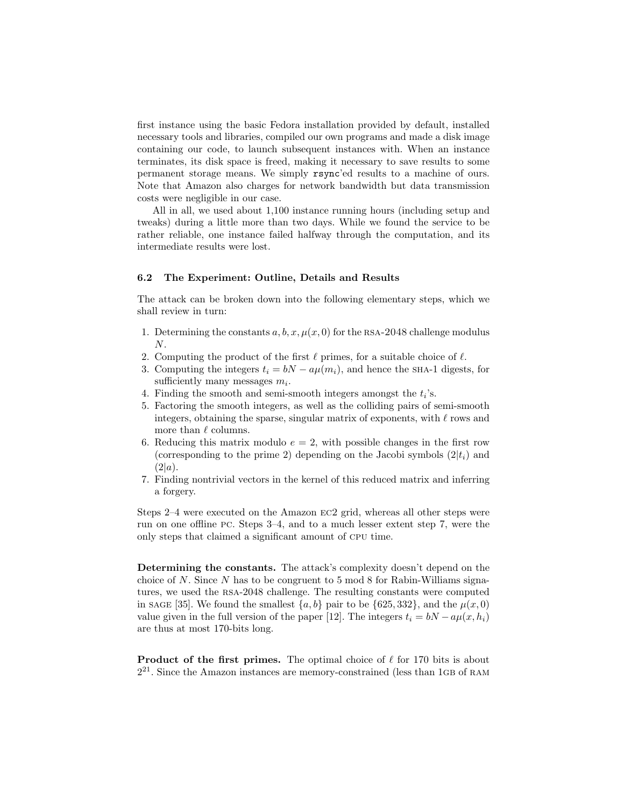first instance using the basic Fedora installation provided by default, installed necessary tools and libraries, compiled our own programs and made a disk image containing our code, to launch subsequent instances with. When an instance terminates, its disk space is freed, making it necessary to save results to some permanent storage means. We simply rsync'ed results to a machine of ours. Note that Amazon also charges for network bandwidth but data transmission costs were negligible in our case.

All in all, we used about 1,100 instance running hours (including setup and tweaks) during a little more than two days. While we found the service to be rather reliable, one instance failed halfway through the computation, and its intermediate results were lost.

### 6.2 The Experiment: Outline, Details and Results

The attack can be broken down into the following elementary steps, which we shall review in turn:

- 1. Determining the constants  $a, b, x, \mu(x, 0)$  for the RSA-2048 challenge modulus  $N$ .
- 2. Computing the product of the first  $\ell$  primes, for a suitable choice of  $\ell$ .
- 3. Computing the integers  $t_i = bN a\mu(m_i)$ , and hence the SHA-1 digests, for sufficiently many messages  $m_i$ .
- 4. Finding the smooth and semi-smooth integers amongst the  $t_i$ 's.
- 5. Factoring the smooth integers, as well as the colliding pairs of semi-smooth integers, obtaining the sparse, singular matrix of exponents, with  $\ell$  rows and more than  $\ell$  columns.
- 6. Reducing this matrix modulo  $e = 2$ , with possible changes in the first row (corresponding to the prime 2) depending on the Jacobi symbols  $(2|t_i)$  and  $(2|a)$ .
- 7. Finding nontrivial vectors in the kernel of this reduced matrix and inferring a forgery.

Steps 2–4 were executed on the Amazon ec2 grid, whereas all other steps were run on one offline pc. Steps 3–4, and to a much lesser extent step 7, were the only steps that claimed a significant amount of cpu time.

Determining the constants. The attack's complexity doesn't depend on the choice of N. Since N has to be congruent to 5 mod 8 for Rabin-Williams signatures, we used the rsa-2048 challenge. The resulting constants were computed in sage [35]. We found the smallest  $\{a, b\}$  pair to be  $\{625, 332\}$ , and the  $\mu(x, 0)$ value given in the full version of the paper [12]. The integers  $t_i = bN - a\mu(x, h_i)$ are thus at most 170-bits long.

**Product of the first primes.** The optimal choice of  $\ell$  for 170 bits is about  $2^{21}$ . Since the Amazon instances are memory-constrained (less than 1GB of RAM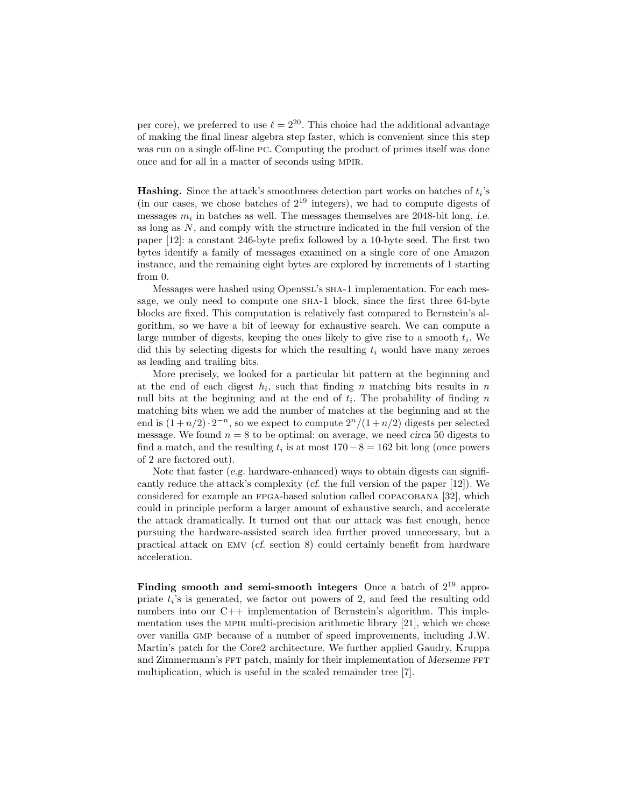per core), we preferred to use  $\ell = 2^{20}$ . This choice had the additional advantage of making the final linear algebra step faster, which is convenient since this step was run on a single off-line pc. Computing the product of primes itself was done once and for all in a matter of seconds using mpir.

**Hashing.** Since the attack's smoothness detection part works on batches of  $t_i$ 's (in our cases, we chose batches of  $2^{19}$  integers), we had to compute digests of messages  $m_i$  in batches as well. The messages themselves are 2048-bit long, *i.e.* as long as  $N$ , and comply with the structure indicated in the full version of the paper [12]: a constant 246-byte prefix followed by a 10-byte seed. The first two bytes identify a family of messages examined on a single core of one Amazon instance, and the remaining eight bytes are explored by increments of 1 starting from 0.

Messages were hashed using Openssl's sha-1 implementation. For each message, we only need to compute one SHA-1 block, since the first three 64-byte blocks are fixed. This computation is relatively fast compared to Bernstein's algorithm, so we have a bit of leeway for exhaustive search. We can compute a large number of digests, keeping the ones likely to give rise to a smooth  $t_i$ . We did this by selecting digests for which the resulting  $t_i$  would have many zeroes as leading and trailing bits.

More precisely, we looked for a particular bit pattern at the beginning and at the end of each digest  $h_i$ , such that finding n matching bits results in n null bits at the beginning and at the end of  $t_i$ . The probability of finding n matching bits when we add the number of matches at the beginning and at the end is  $(1+n/2) \cdot 2^{-n}$ , so we expect to compute  $2^{n}/(1+n/2)$  digests per selected message. We found  $n = 8$  to be optimal: on average, we need circa 50 digests to find a match, and the resulting  $t_i$  is at most  $170-8 = 162$  bit long (once powers of 2 are factored out).

Note that faster (e.g. hardware-enhanced) ways to obtain digests can significantly reduce the attack's complexity (*cf.* the full version of the paper  $[12]$ ). We considered for example an FPGA-based solution called COPACOBANA [32], which could in principle perform a larger amount of exhaustive search, and accelerate the attack dramatically. It turned out that our attack was fast enough, hence pursuing the hardware-assisted search idea further proved unnecessary, but a practical attack on emv (cf. section 8) could certainly benefit from hardware acceleration.

Finding smooth and semi-smooth integers Once a batch of  $2^{19}$  appropriate  $t_i$ 's is generated, we factor out powers of 2, and feed the resulting odd numbers into our C++ implementation of Bernstein's algorithm. This implementation uses the MPIR multi-precision arithmetic library  $[21]$ , which we chose over vanilla gmp because of a number of speed improvements, including J.W. Martin's patch for the Core2 architecture. We further applied Gaudry, Kruppa and Zimmermann's FFT patch, mainly for their implementation of Mersenne FFT multiplication, which is useful in the scaled remainder tree [7].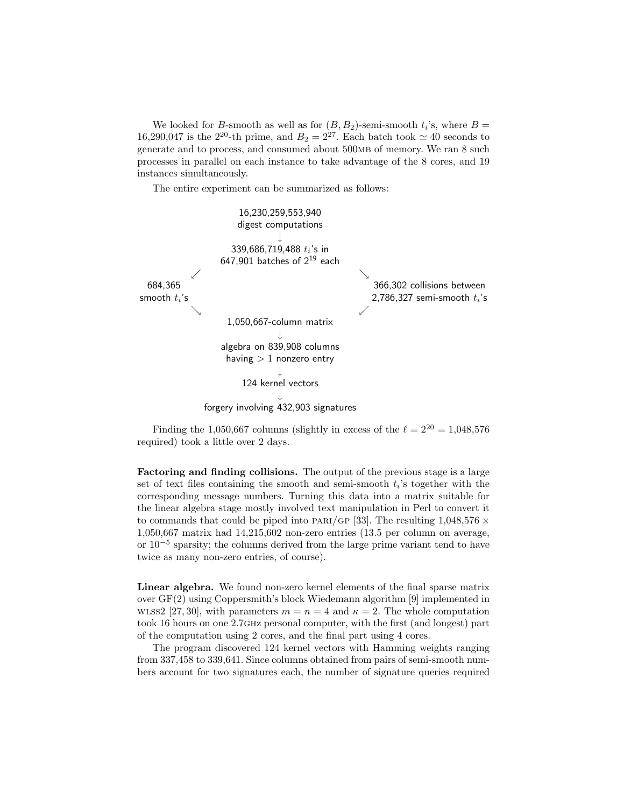We looked for *B*-smooth as well as for  $(B, B_2)$ -semi-smooth  $t_i$ 's, where  $B =$ 16,290,047 is the 2<sup>20</sup>-th prime, and  $B_2 = 2^{27}$ . Each batch took  $\simeq 40$  seconds to generate and to process, and consumed about 500mb of memory. We ran 8 such processes in parallel on each instance to take advantage of the 8 cores, and 19 instances simultaneously.

The entire experiment can be summarized as follows:



Finding the 1,050,667 columns (slightly in excess of the  $\ell = 2^{20} = 1,048,576$ required) took a little over 2 days.

Factoring and finding collisions. The output of the previous stage is a large set of text files containing the smooth and semi-smooth  $t_i$ 's together with the corresponding message numbers. Turning this data into a matrix suitable for the linear algebra stage mostly involved text manipulation in Perl to convert it to commands that could be piped into PARI/GP [33]. The resulting  $1,048,576 \times$ 1,050,667 matrix had 14,215,602 non-zero entries (13.5 per column on average, or 10<sup>−</sup><sup>5</sup> sparsity; the columns derived from the large prime variant tend to have twice as many non-zero entries, of course).

Linear algebra. We found non-zero kernel elements of the final sparse matrix over GF(2) using Coppersmith's block Wiedemann algorithm [9] implemented in w. WLSS2 [27, 30], with parameters  $m = n = 4$  and  $\kappa = 2$ . The whole computation took 16 hours on one 2.7ghz personal computer, with the first (and longest) part of the computation using 2 cores, and the final part using 4 cores.

The program discovered 124 kernel vectors with Hamming weights ranging from 337,458 to 339,641. Since columns obtained from pairs of semi-smooth numbers account for two signatures each, the number of signature queries required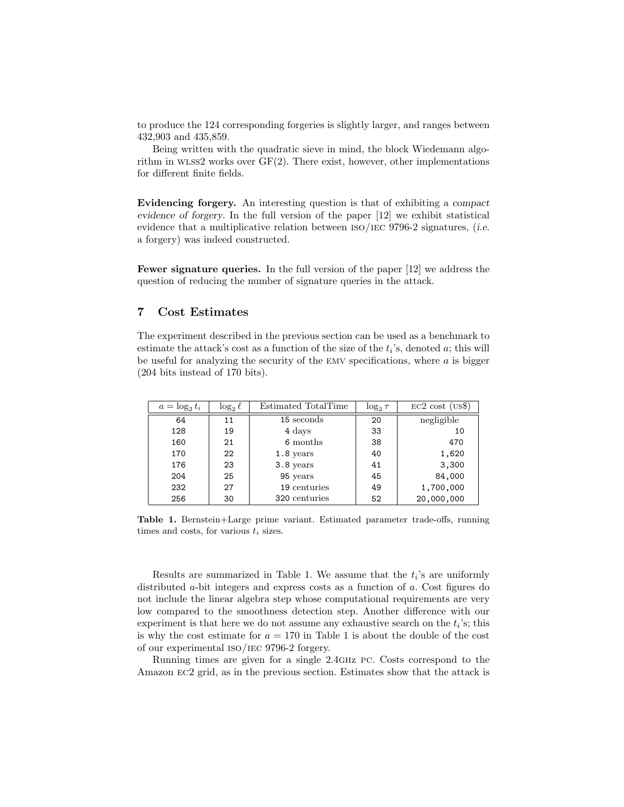to produce the 124 corresponding forgeries is slightly larger, and ranges between 432,903 and 435,859.

Being written with the quadratic sieve in mind, the block Wiedemann algorithm in WLSS2 works over  $GF(2)$ . There exist, however, other implementations for different finite fields.

Evidencing forgery. An interesting question is that of exhibiting a compact evidence of forgery. In the full version of the paper [12] we exhibit statistical evidence that a multiplicative relation between  $\text{ISO}/\text{IEC}$  9796-2 signatures, (i.e. a forgery) was indeed constructed.

Fewer signature queries. In the full version of the paper [12] we address the question of reducing the number of signature queries in the attack.

# 7 Cost Estimates

The experiment described in the previous section can be used as a benchmark to estimate the attack's cost as a function of the size of the  $t_i$ 's, denoted  $a$ ; this will be useful for analyzing the security of the EMV specifications, where  $a$  is bigger (204 bits instead of 170 bits).

| $a = \log_2 t_i$ | $\log_2 \ell$ | Estimated TotalTime | $\log_2 \tau$ | $EC2 \text{ cost (US$)}$ |
|------------------|---------------|---------------------|---------------|--------------------------|
| 64               | 11            | 15 seconds          | 20            | negligible               |
| 128              | 19            | 4 days              | 33            | 10                       |
| 160              | 21            | 6 months            | 38            | 470                      |
| 170              | 22            | $1.8$ years         | 40            | 1,620                    |
| 176              | 23            | 3.8 years           | 41            | 3,300                    |
| 204              | 25            | 95 years            | 45            | 84,000                   |
| 232              | 27            | 19 centuries        | 49            | 1,700,000                |
| 256              | 30            | 320 centuries       | 52            | 20,000,000               |

Table 1. Bernstein+Large prime variant. Estimated parameter trade-offs, running times and costs, for various  $t_i$  sizes.

Results are summarized in Table 1. We assume that the  $t_i$ 's are uniformly distributed *a*-bit integers and express costs as a function of *a*. Cost figures do not include the linear algebra step whose computational requirements are very low compared to the smoothness detection step. Another difference with our experiment is that here we do not assume any exhaustive search on the  $t_i$ 's; this is why the cost estimate for  $a = 170$  in Table 1 is about the double of the cost of our experimental iso/iec 9796-2 forgery.

Running times are given for a single 2.4ghz pc. Costs correspond to the Amazon ec2 grid, as in the previous section. Estimates show that the attack is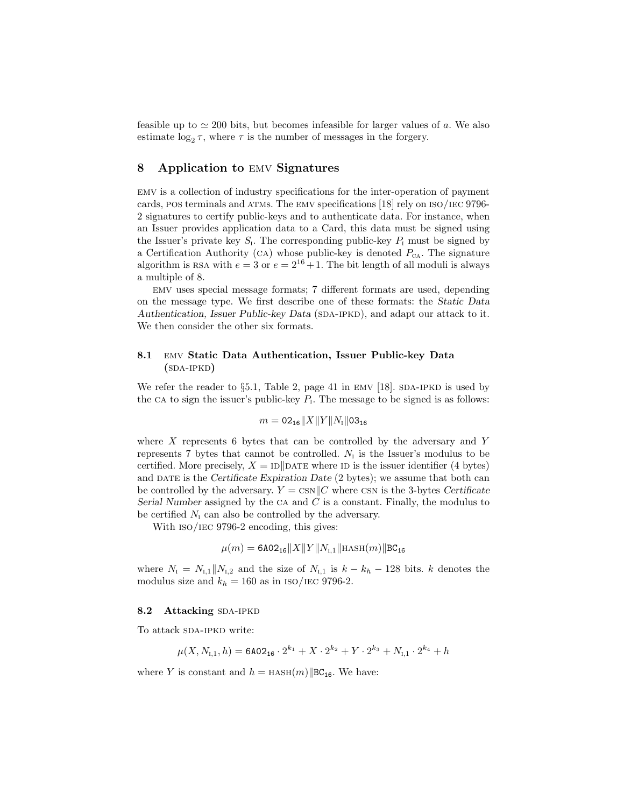feasible up to  $\simeq 200$  bits, but becomes infeasible for larger values of a. We also estimate  $\log_2 \tau$ , where  $\tau$  is the number of messages in the forgery.

# 8 Application to emv Signatures

emv is a collection of industry specifications for the inter-operation of payment cards, pos terminals and atms. The emv specifications [18] rely on iso/iec 9796- 2 signatures to certify public-keys and to authenticate data. For instance, when an Issuer provides application data to a Card, this data must be signed using the Issuer's private key  $S_i$ . The corresponding public-key  $P_i$  must be signed by a Certification Authority (CA) whose public-key is denoted  $P_{CA}$ . The signature algorithm is RSA with  $e = 3$  or  $e = 2^{16} + 1$ . The bit length of all moduli is always a multiple of 8.

emv uses special message formats; 7 different formats are used, depending on the message type. We first describe one of these formats: the Static Data Authentication, Issuer Public-key Data (SDA-IPKD), and adapt our attack to it. We then consider the other six formats.

### 8.1 emv Static Data Authentication, Issuer Public-key Data  $(SDA-IPKD)$

We refer the reader to  $\S 5.1$ , Table 2, page 41 in EMV [18]. SDA-IPKD is used by the CA to sign the issuer's public-key  $P_1$ . The message to be signed is as follows:

$$
m = 02_{16} ||X||Y||N_{I}||03_{16}
$$

where  $X$  represents 6 bytes that can be controlled by the adversary and  $Y$ represents 7 bytes that cannot be controlled.  $N_{I}$  is the Issuer's modulus to be certified. More precisely,  $X = \text{ID} \parallel$ DATE where ID is the issuer identifier (4 bytes) and DATE is the Certificate Expiration Date (2 bytes); we assume that both can be controlled by the adversary.  $Y = \text{csn} || C$  where csn is the 3-bytes Certificate Serial Number assigned by the CA and  $C$  is a constant. Finally, the modulus to be certified  $N_{\rm I}$  can also be controlled by the adversary.

With  $iso/IEC$  9796-2 encoding, this gives:

$$
\mu(m) = \texttt{6AO2}_{\texttt{16}}\|X\|Y\|N_{\texttt{I},1}\|\text{hasn}(m)\|\texttt{BC}_{\texttt{16}}
$$

where  $N_{I} = N_{I,1}||N_{I,2}$  and the size of  $N_{I,1}$  is  $k - k_h - 128$  bits. k denotes the modulus size and  $k_h = 160$  as in ISO/IEC 9796-2.

### 8.2 Attacking SDA-IPKD

To attack SDA-IPKD write:

$$
\mu(X, N_{\text{I},1}, h) = \texttt{6A02}_{\textbf{16}} \cdot 2^{k_1} + X \cdot 2^{k_2} + Y \cdot 2^{k_3} + N_{\text{I},1} \cdot 2^{k_4} + h
$$

where Y is constant and  $h =$  HASH $(m)$ |BC<sub>16</sub>. We have: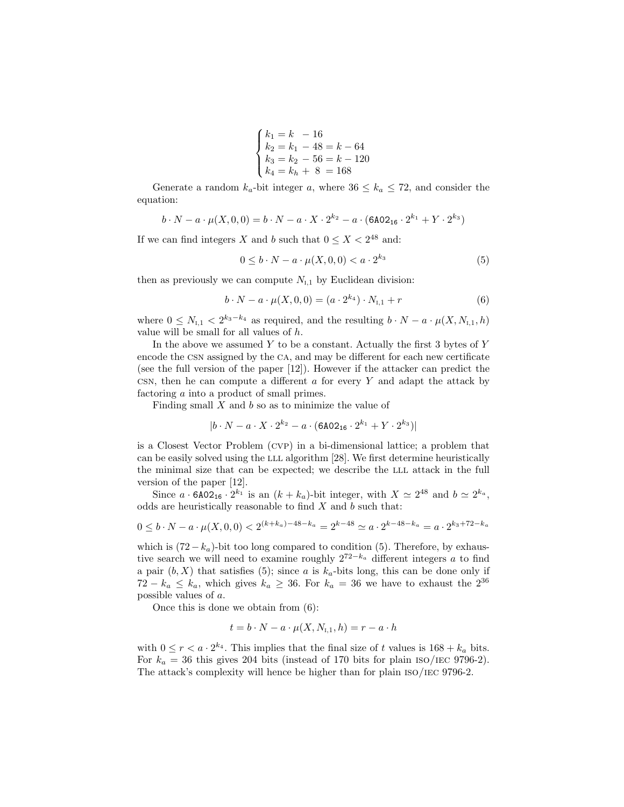$$
\begin{cases}\nk_1 = k - 16 \\
k_2 = k_1 - 48 = k - 64 \\
k_3 = k_2 - 56 = k - 120 \\
k_4 = k_h + 8 = 168\n\end{cases}
$$

Generate a random  $k_a$ -bit integer a, where  $36 \leq k_a \leq 72$ , and consider the equation:

$$
b \cdot N - a \cdot \mu(X, 0, 0) = b \cdot N - a \cdot X \cdot 2^{k_2} - a \cdot (6A02_{16} \cdot 2^{k_1} + Y \cdot 2^{k_3})
$$

If we can find integers X and b such that  $0 \le X < 2^{48}$  and:

$$
0 \le b \cdot N - a \cdot \mu(X, 0, 0) < a \cdot 2^{k_3} \tag{5}
$$

then as previously we can compute  $N_{I,1}$  by Euclidean division:

$$
b \cdot N - a \cdot \mu(X, 0, 0) = (a \cdot 2^{k_4}) \cdot N_{1,1} + r \tag{6}
$$

where  $0 \leq N_{1,1} < 2^{k_3-k_4}$  as required, and the resulting  $b \cdot N - a \cdot \mu(X, N_{1,1}, h)$ value will be small for all values of h.

In the above we assumed  $Y$  to be a constant. Actually the first 3 bytes of  $Y$ encode the csn assigned by the ca, and may be different for each new certificate (see the full version of the paper [12]). However if the attacker can predict the csn, then he can compute a different  $a$  for every  $Y$  and adapt the attack by factoring a into a product of small primes.

Finding small  $X$  and  $b$  so as to minimize the value of

$$
|b \cdot N - a \cdot X \cdot 2^{k_2} - a \cdot (6A02_{16} \cdot 2^{k_1} + Y \cdot 2^{k_3})|
$$

is a Closest Vector Problem (cvp) in a bi-dimensional lattice; a problem that can be easily solved using the LLL algorithm [28]. We first determine heuristically the minimal size that can be expected; we describe the LLL attack in the full version of the paper [12].

Since  $a \cdot 6A02_{16} \cdot 2^{k_1}$  is an  $(k + k_a)$ -bit integer, with  $X \simeq 2^{48}$  and  $b \simeq 2^{k_a}$ , odds are heuristically reasonable to find  $X$  and  $b$  such that:

$$
0 \le b \cdot N - a \cdot \mu(X, 0, 0) < 2^{(k + k_a) - 48 - k_a} = 2^{k - 48} \simeq a \cdot 2^{k - 48 - k_a} = a \cdot 2^{k_3 + 72 - k_a}
$$

which is  $(72-k_a)$ -bit too long compared to condition (5). Therefore, by exhaustive search we will need to examine roughly  $2^{72-k_a}$  different integers a to find a pair  $(b, X)$  that satisfies (5); since a is  $k_a$ -bits long, this can be done only if  $72 - k_a \leq k_a$ , which gives  $k_a \geq 36$ . For  $k_a = 36$  we have to exhaust the  $2^{36}$ possible values of a.

Once this is done we obtain from (6):

$$
t = b \cdot N - a \cdot \mu(X, N_{\text{I},1}, h) = r - a \cdot h
$$

with  $0 \le r < a \cdot 2^{k_4}$ . This implies that the final size of t values is  $168 + k_a$  bits. For  $k_a = 36$  this gives 204 bits (instead of 170 bits for plain ISO/IEC 9796-2). The attack's complexity will hence be higher than for plain iso/iec 9796-2.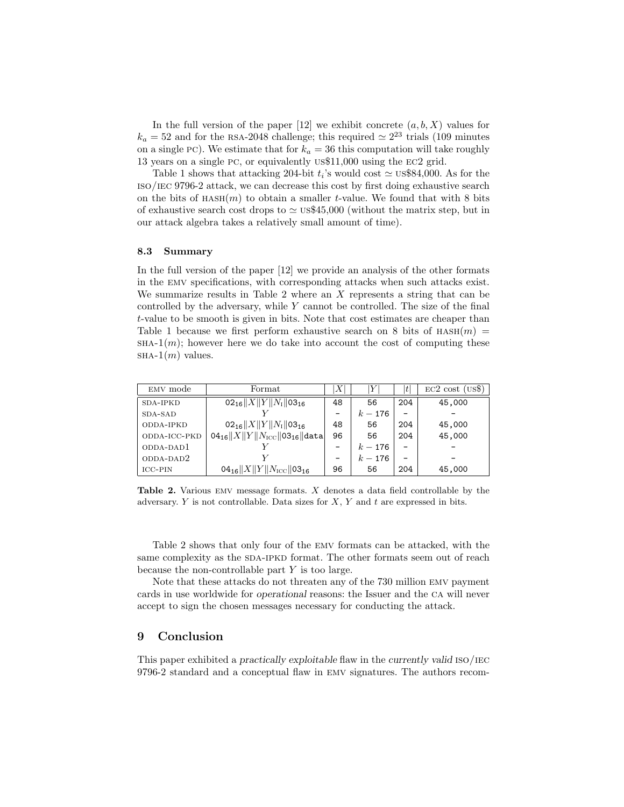In the full version of the paper  $[12]$  we exhibit concrete  $(a, b, X)$  values for  $k_a = 52$  and for the RSA-2048 challenge; this required  $\simeq 2^{23}$  trials (109 minutes on a single PC). We estimate that for  $k_a = 36$  this computation will take roughly 13 years on a single pc, or equivalently us\$11,000 using the ec2 grid.

Table 1 shows that attacking 204-bit  $t_i$ 's would cost  $\simeq$  us\$84,000. As for the iso/iec 9796-2 attack, we can decrease this cost by first doing exhaustive search on the bits of  $HASH(m)$  to obtain a smaller t-value. We found that with 8 bits of exhaustive search cost drops to  $\simeq$  us\$45,000 (without the matrix step, but in our attack algebra takes a relatively small amount of time).

### 8.3 Summary

In the full version of the paper [12] we provide an analysis of the other formats in the emv specifications, with corresponding attacks when such attacks exist. We summarize results in Table 2 where an X represents a string that can be controlled by the adversary, while Y cannot be controlled. The size of the final t-value to be smooth is given in bits. Note that cost estimates are cheaper than Table 1 because we first perform exhaustive search on 8 bits of  $HASH(m) =$  $SHA-1(m)$ ; however here we do take into account the cost of computing these  $SHA-1(m)$  values.

| EMV mode     | Format                                                          | Χ  | Υ         |                          | $EC2 \text{ cost (US$)}$ |
|--------------|-----------------------------------------------------------------|----|-----------|--------------------------|--------------------------|
| SDA-IPKD     | $02_{16}  X  Y  N_I  03_{16}$                                   | 48 | 56        | 204                      | 45,000                   |
| SDA-SAD      |                                                                 | -  | $k - 176$ | $\overline{\phantom{0}}$ |                          |
| ODDA-IPKD    | $02_{16}$   X  Y  N <sub>I</sub>   03 <sub>16</sub>             | 48 | 56        | 204                      | 45,000                   |
| ODDA-ICC-PKD | 04 <sub>16</sub> $  X  Y  N_{\text{ICC}}  03_{16}  \text{data}$ | 96 | 56        | 204                      | 45,000                   |
| ODDA-DAD1    |                                                                 | -  | $k - 176$ |                          |                          |
| ODDA-DAD2    |                                                                 |    | $k - 176$ | $\qquad \qquad$          |                          |
| ICC-PIN      | 04 <sub>16</sub> $  X  Y  N_{\text{ICC}}  03_{16}$              | 96 | 56        | 204                      | 45,000                   |

Table 2. Various emv message formats. X denotes a data field controllable by the adversary. Y is not controllable. Data sizes for  $X, Y$  and  $t$  are expressed in bits.

Table 2 shows that only four of the emv formats can be attacked, with the same complexity as the SDA-IPKD format. The other formats seem out of reach because the non-controllable part  $Y$  is too large.

Note that these attacks do not threaten any of the 730 million emv payment cards in use worldwide for operational reasons: the Issuer and the ca will never accept to sign the chosen messages necessary for conducting the attack.

# 9 Conclusion

This paper exhibited a practically exploitable flaw in the currently valid iso/iec 9796-2 standard and a conceptual flaw in emv signatures. The authors recom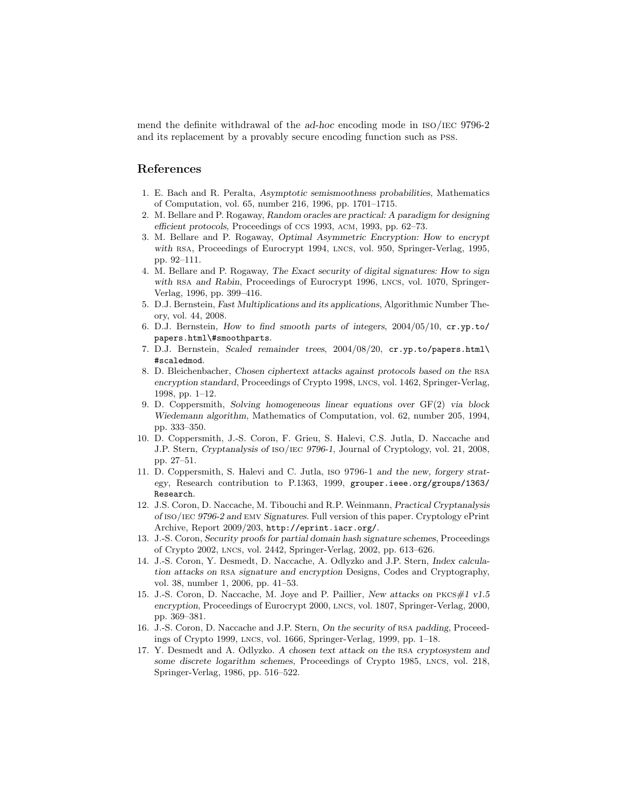mend the definite withdrawal of the ad-hoc encoding mode in iso/iec 9796-2 and its replacement by a provably secure encoding function such as pss.

## References

- 1. E. Bach and R. Peralta, *Asymptotic semismoothness probabilities*, Mathematics of Computation, vol. 65, number 216, 1996, pp. 1701–1715.
- 2. M. Bellare and P. Rogaway, *Random oracles are practical: A paradigm for designing efficient protocols*, Proceedings of ccs 1993, acm, 1993, pp. 62–73.
- 3. M. Bellare and P. Rogaway, *Optimal Asymmetric Encryption: How to encrypt with* rsa, Proceedings of Eurocrypt 1994, lncs, vol. 950, Springer-Verlag, 1995, pp. 92–111.
- 4. M. Bellare and P. Rogaway, *The Exact security of digital signatures: How to sign with* rsa *and Rabin*, Proceedings of Eurocrypt 1996, lncs, vol. 1070, Springer-Verlag, 1996, pp. 399–416.
- 5. D.J. Bernstein, *Fast Multiplications and its applications*, Algorithmic Number Theory, vol. 44, 2008.
- 6. D.J. Bernstein, *How to find smooth parts of integers*, 2004/05/10, cr.yp.to/ papers.html\#smoothparts.
- 7. D.J. Bernstein, *Scaled remainder trees*, 2004/08/20, cr.yp.to/papers.html\ #scaledmod.
- 8. D. Bleichenbacher, *Chosen ciphertext attacks against protocols based on the* rsa *encryption standard*, Proceedings of Crypto 1998, lncs, vol. 1462, Springer-Verlag, 1998, pp. 1–12.
- 9. D. Coppersmith, *Solving homogeneous linear equations over* GF(2) *via block Wiedemann algorithm*, Mathematics of Computation, vol. 62, number 205, 1994, pp. 333–350.
- 10. D. Coppersmith, J.-S. Coron, F. Grieu, S. Halevi, C.S. Jutla, D. Naccache and J.P. Stern, *Cryptanalysis of* iso/iec *9796-1*, Journal of Cryptology, vol. 21, 2008, pp. 27–51.
- 11. D. Coppersmith, S. Halevi and C. Jutla, iso 9796-1 *and the new, forgery strategy*, Research contribution to P.1363, 1999, grouper.ieee.org/groups/1363/ Research.
- 12. J.S. Coron, D. Naccache, M. Tibouchi and R.P. Weinmann, *Practical Cryptanalysis of* iso/iec *9796-2 and* emv *Signatures*. Full version of this paper. Cryptology ePrint Archive, Report 2009/203, http://eprint.iacr.org/.
- 13. J.-S. Coron, *Security proofs for partial domain hash signature schemes*, Proceedings of Crypto 2002, lncs, vol. 2442, Springer-Verlag, 2002, pp. 613–626.
- 14. J.-S. Coron, Y. Desmedt, D. Naccache, A. Odlyzko and J.P. Stern, *Index calculation attacks on* rsa *signature and encryption* Designs, Codes and Cryptography, vol. 38, number 1, 2006, pp. 41–53.
- 15. J.-S. Coron, D. Naccache, M. Joye and P. Paillier, *New attacks on* pkcs*#1 v1.5 encryption*, Proceedings of Eurocrypt 2000, lncs, vol. 1807, Springer-Verlag, 2000, pp. 369–381.
- 16. J.-S. Coron, D. Naccache and J.P. Stern, *On the security of* rsa *padding*, Proceedings of Crypto 1999, lncs, vol. 1666, Springer-Verlag, 1999, pp. 1–18.
- 17. Y. Desmedt and A. Odlyzko. *A chosen text attack on the* rsa *cryptosystem and some discrete logarithm schemes*, Proceedings of Crypto 1985, lncs, vol. 218, Springer-Verlag, 1986, pp. 516–522.